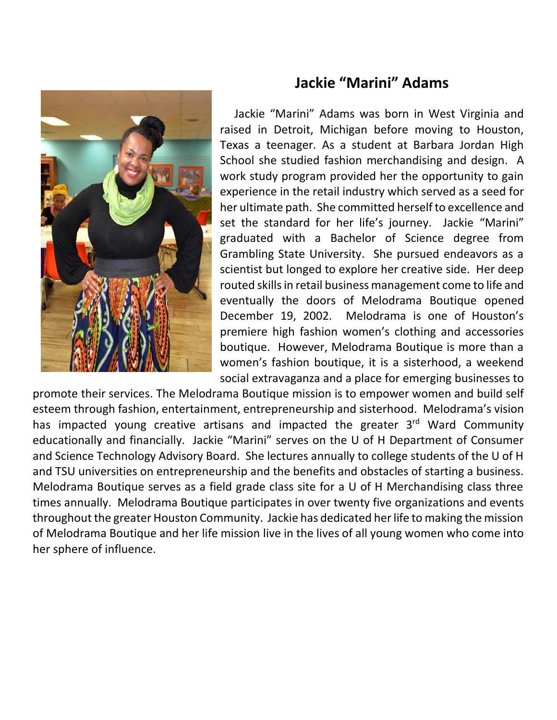

# **Jackie "Marini" Adams**

 Jackie "Marini" Adams was born in West Virginia and raised in Detroit, Michigan before moving to Houston, Texas a teenager. As a student at Barbara Jordan High School she studied fashion merchandising and design. A work study program provided her the opportunity to gain experience in the retail industry which served as a seed for her ultimate path. She committed herself to excellence and set the standard for her life's journey. Jackie "Marini" graduated with a Bachelor of Science degree from Grambling State University. She pursued endeavors as a scientist but longed to explore her creative side. Her deep routed skills in retail business management come to life and eventually the doors of Melodrama Boutique opened December 19, 2002. Melodrama is one of Houston's premiere high fashion women's clothing and accessories boutique. However, Melodrama Boutique is more than a women's fashion boutique, it is a sisterhood, a weekend social extravaganza and a place for emerging businesses to

promote their services. The Melodrama Boutique mission is to empower women and build self esteem through fashion, entertainment, entrepreneurship and sisterhood. Melodrama's vision has impacted young creative artisans and impacted the greater 3<sup>rd</sup> Ward Community educationally and financially. Jackie "Marini" serves on the U of H Department of Consumer and Science Technology Advisory Board. She lectures annually to college students of the U of H and TSU universities on entrepreneurship and the benefits and obstacles of starting a business. Melodrama Boutique serves as a field grade class site for a U of H Merchandising class three times annually. Melodrama Boutique participates in over twenty five organizations and events throughout the greater Houston Community. Jackie has dedicated her life to making the mission of Melodrama Boutique and her life mission live in the lives of all young women who come into her sphere of influence.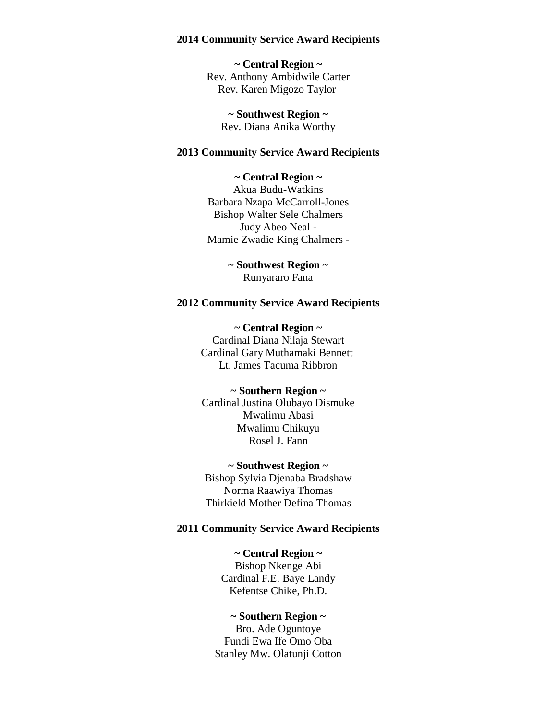#### **2014 Community Service Award Recipients**

**~ Central Region ~** Rev. Anthony Ambidwile Carter Rev. Karen Migozo Taylor

**~ Southwest Region ~** Rev. Diana Anika Worthy

### **2013 Community Service Award Recipients**

## **~ Central Region ~**

Akua Budu-Watkins Barbara Nzapa McCarroll-Jones Bishop Walter Sele Chalmers Judy Abeo Neal - Mamie Zwadie King Chalmers -

> **~ Southwest Region ~** Runyararo Fana

#### **2012 Community Service Award Recipients**

**~ Central Region ~** Cardinal Diana Nilaja Stewart Cardinal Gary Muthamaki Bennett Lt. James Tacuma Ribbron

#### **~ Southern Region ~**

Cardinal Justina Olubayo Dismuke Mwalimu Abasi Mwalimu Chikuyu Rosel J. Fann

### **~ Southwest Region ~**

Bishop Sylvia Djenaba Bradshaw Norma Raawiya Thomas Thirkield Mother Defina Thomas

#### **2011 Community Service Award Recipients**

#### **~ Central Region ~**

Bishop Nkenge Abi Cardinal F.E. Baye Landy Kefentse Chike, Ph.D.

## **~ Southern Region ~**

Bro. Ade Oguntoye Fundi Ewa Ife Omo Oba Stanley Mw. Olatunji Cotton